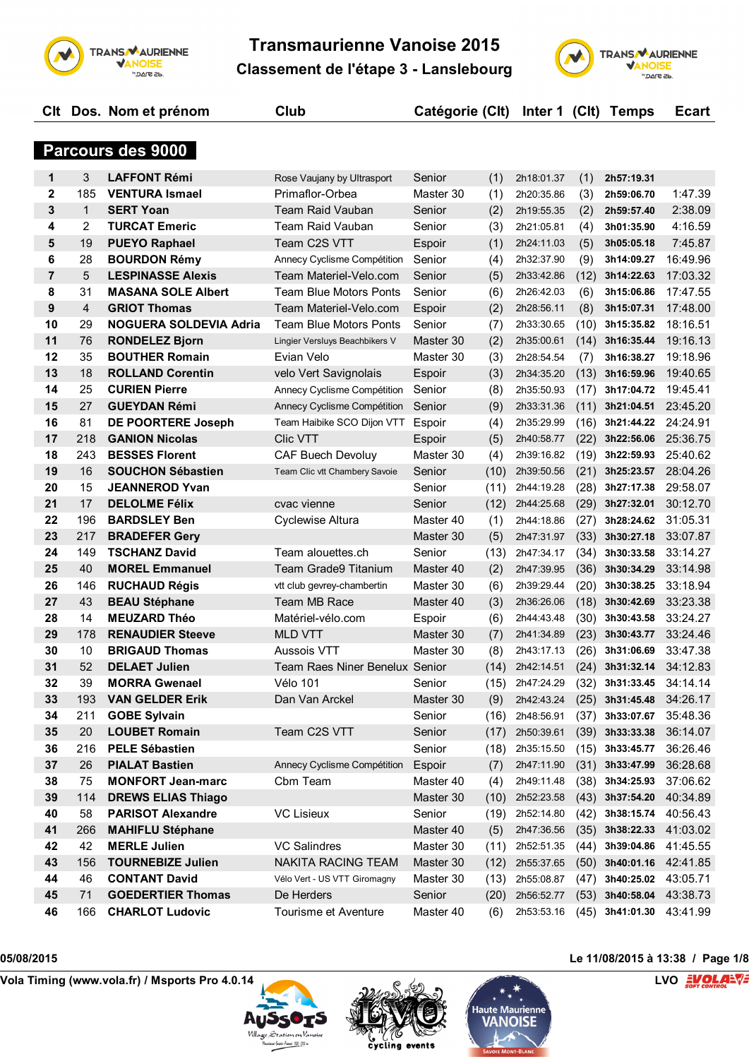

**Clt Dos. Nom et prénom Club Catégorie (Clt) Inter 1 (Clt) Temps Ecart**



|                |                | Parcours des 9000             |                                |           |      |            |      |                   |          |
|----------------|----------------|-------------------------------|--------------------------------|-----------|------|------------|------|-------------------|----------|
| 1              | 3              | <b>LAFFONT Rémi</b>           | Rose Vaujany by Ultrasport     | Senior    | (1)  | 2h18:01.37 | (1)  | 2h57:19.31        |          |
| $\mathbf 2$    | 185            | <b>VENTURA Ismael</b>         | Primaflor-Orbea                | Master 30 | (1)  | 2h20:35.86 | (3)  | 2h59:06.70        | 1:47.39  |
| 3              | $\mathbf{1}$   | <b>SERT Yoan</b>              | Team Raid Vauban               | Senior    | (2)  | 2h19:55.35 | (2)  | 2h59:57.40        | 2:38.09  |
| 4              | $\overline{2}$ | <b>TURCAT Emeric</b>          | <b>Team Raid Vauban</b>        | Senior    | (3)  | 2h21:05.81 | (4)  | 3h01:35.90        | 4:16.59  |
| 5              | 19             | <b>PUEYO Raphael</b>          | Team C2S VTT                   | Espoir    | (1)  | 2h24:11.03 | (5)  | 3h05:05.18        | 7:45.87  |
| 6              | 28             | <b>BOURDON Rémy</b>           | Annecy Cyclisme Compétition    | Senior    | (4)  | 2h32:37.90 | (9)  | 3h14:09.27        | 16:49.96 |
| $\overline{7}$ | 5              | <b>LESPINASSE Alexis</b>      | Team Materiel-Velo.com         | Senior    | (5)  | 2h33:42.86 | (12) | 3h14:22.63        | 17:03.32 |
| 8              | 31             | <b>MASANA SOLE Albert</b>     | <b>Team Blue Motors Ponts</b>  | Senior    | (6)  | 2h26:42.03 | (6)  | 3h15:06.86        | 17:47.55 |
| 9              | $\overline{4}$ | <b>GRIOT Thomas</b>           | Team Materiel-Velo.com         | Espoir    | (2)  | 2h28:56.11 | (8)  | 3h15:07.31        | 17:48.00 |
| 10             | 29             | <b>NOGUERA SOLDEVIA Adria</b> | <b>Team Blue Motors Ponts</b>  | Senior    | (7)  | 2h33:30.65 | (10) | 3h15:35.82        | 18:16.51 |
| 11             | 76             | <b>RONDELEZ Bjorn</b>         | Lingier Versluys Beachbikers V | Master 30 | (2)  | 2h35:00.61 | (14) | 3h16:35.44        | 19:16.13 |
| 12             | 35             | <b>BOUTHER Romain</b>         | Evian Velo                     | Master 30 | (3)  | 2h28:54.54 | (7)  | 3h16:38.27        | 19:18.96 |
| 13             | 18             | <b>ROLLAND Corentin</b>       | velo Vert Savignolais          | Espoir    | (3)  | 2h34:35.20 | (13) | 3h16:59.96        | 19:40.65 |
| 14             | 25             | <b>CURIEN Pierre</b>          | Annecy Cyclisme Compétition    | Senior    | (8)  | 2h35:50.93 | (17) | 3h17:04.72        | 19:45.41 |
| 15             | 27             | <b>GUEYDAN Rémi</b>           | Annecy Cyclisme Compétition    | Senior    | (9)  | 2h33:31.36 | (11) | 3h21:04.51        | 23:45.20 |
| 16             | 81             | DE POORTERE Joseph            | Team Haibike SCO Dijon VTT     | Espoir    | (4)  | 2h35:29.99 | (16) | 3h21:44.22        | 24:24.91 |
| 17             | 218            | <b>GANION Nicolas</b>         | <b>Clic VTT</b>                | Espoir    | (5)  | 2h40:58.77 | (22) | 3h22:56.06        | 25:36.75 |
| 18             | 243            | <b>BESSES Florent</b>         | <b>CAF Buech Devoluy</b>       | Master 30 | (4)  | 2h39:16.82 | (19) | 3h22:59.93        | 25:40.62 |
| 19             | 16             | <b>SOUCHON Sébastien</b>      | Team Clic vtt Chambery Savoie  | Senior    | (10) | 2h39:50.56 | (21) | 3h25:23.57        | 28:04.26 |
| 20             | 15             | <b>JEANNEROD Yvan</b>         |                                | Senior    | (11) | 2h44:19.28 | (28) | 3h27:17.38        | 29:58.07 |
| 21             | 17             | <b>DELOLME Félix</b>          | cvac vienne                    | Senior    | (12) | 2h44:25.68 | (29) | 3h27:32.01        | 30:12.70 |
| 22             | 196            | <b>BARDSLEY Ben</b>           | <b>Cyclewise Altura</b>        | Master 40 | (1)  | 2h44:18.86 | (27) | 3h28:24.62        | 31:05.31 |
| 23             | 217            | <b>BRADEFER Gery</b>          |                                | Master 30 | (5)  | 2h47:31.97 | (33) | 3h30:27.18        | 33:07.87 |
| 24             | 149            | <b>TSCHANZ David</b>          | Team alouettes.ch              | Senior    | (13) | 2h47:34.17 | (34) | 3h30:33.58        | 33:14.27 |
| 25             | 40             | <b>MOREL Emmanuel</b>         | Team Grade9 Titanium           | Master 40 | (2)  | 2h47:39.95 | (36) | 3h30:34.29        | 33:14.98 |
| 26             | 146            | <b>RUCHAUD Régis</b>          | vtt club gevrey-chambertin     | Master 30 | (6)  | 2h39:29.44 | (20) | 3h30:38.25        | 33:18.94 |
| 27             | 43             | <b>BEAU Stéphane</b>          | Team MB Race                   | Master 40 | (3)  | 2h36:26.06 | (18) | 3h30:42.69        | 33:23.38 |
| 28             | 14             | <b>MEUZARD Théo</b>           | Matériel-vélo.com              | Espoir    | (6)  | 2h44:43.48 | (30) | 3h30:43.58        | 33:24.27 |
| 29             | 178            | <b>RENAUDIER Steeve</b>       | <b>MLD VTT</b>                 | Master 30 | (7)  | 2h41:34.89 | (23) | 3h30:43.77        | 33:24.46 |
| 30             | 10             | <b>BRIGAUD Thomas</b>         | <b>Aussois VTT</b>             | Master 30 | (8)  | 2h43:17.13 | (26) | 3h31:06.69        | 33:47.38 |
| 31             | 52             | <b>DELAET Julien</b>          | Team Raes Niner Benelux Senior |           | (14) | 2h42:14.51 | (24) | 3h31:32.14        | 34:12.83 |
| 32             | 39             | <b>MORRA Gwenael</b>          | <b>Vélo 101</b>                | Senior    | (15) | 2h47:24.29 | (32) | 3h31:33.45        | 34:14.14 |
| 33             | 193            | <b>VAN GELDER Erik</b>        | Dan Van Arckel                 | Master 30 | (9)  | 2h42:43.24 |      | $(25)$ 3h31:45.48 | 34:26.17 |
| 34             | 211            | <b>GOBE Sylvain</b>           |                                | Senior    | (16) | 2h48:56.91 | (37) | 3h33:07.67        | 35:48.36 |
| 35             | 20             | <b>LOUBET Romain</b>          | Team C2S VTT                   | Senior    | (17) | 2h50:39.61 | (39) | 3h33:33.38        | 36:14.07 |
| 36             | 216            | <b>PELE Sébastien</b>         |                                | Senior    | (18) | 2h35:15.50 | (15) | 3h33:45.77        | 36:26.46 |
| 37             | 26             | <b>PIALAT Bastien</b>         | Annecy Cyclisme Compétition    | Espoir    | (7)  | 2h47:11.90 | (31) | 3h33:47.99        | 36:28.68 |
| 38             | 75             | <b>MONFORT Jean-marc</b>      | Cbm Team                       | Master 40 | (4)  | 2h49:11.48 | (38) | 3h34:25.93        | 37:06.62 |
| 39             | 114            | <b>DREWS ELIAS Thiago</b>     |                                | Master 30 | (10) | 2h52:23.58 | (43) | 3h37:54.20        | 40:34.89 |
| 40             | 58             | <b>PARISOT Alexandre</b>      | <b>VC Lisieux</b>              | Senior    | (19) | 2h52:14.80 | (42) | 3h38:15.74        | 40:56.43 |
| 41             | 266            | <b>MAHIFLU Stéphane</b>       |                                | Master 40 | (5)  | 2h47:36.56 | (35) | 3h38:22.33        | 41:03.02 |
| 42             | 42             | <b>MERLE Julien</b>           | VC Salindres                   | Master 30 | (11) | 2h52:51.35 | (44) | 3h39:04.86        | 41:45.55 |
| 43             | 156            | <b>TOURNEBIZE Julien</b>      | NAKITA RACING TEAM             | Master 30 | (12) | 2h55:37.65 | (50) | 3h40:01.16        | 42:41.85 |
| 44             | 46             | <b>CONTANT David</b>          | Vélo Vert - US VTT Giromagny   | Master 30 | (13) | 2h55:08.87 | (47) | 3h40:25.02        | 43:05.71 |
| 45             | 71             | <b>GOEDERTIER Thomas</b>      | De Herders                     | Senior    | (20) | 2h56:52.77 | (53) | 3h40:58.04        | 43:38.73 |
|                |                |                               |                                |           |      |            |      |                   |          |







166 **CHARLOT Ludovic** Tourisme et Aventure Master 40 (6) 2h53:53.16 (45) **3h41:01.30** 43:41.99



### **05/08/2015 Le 11/08/2015 à 13:38 / Page 1/8**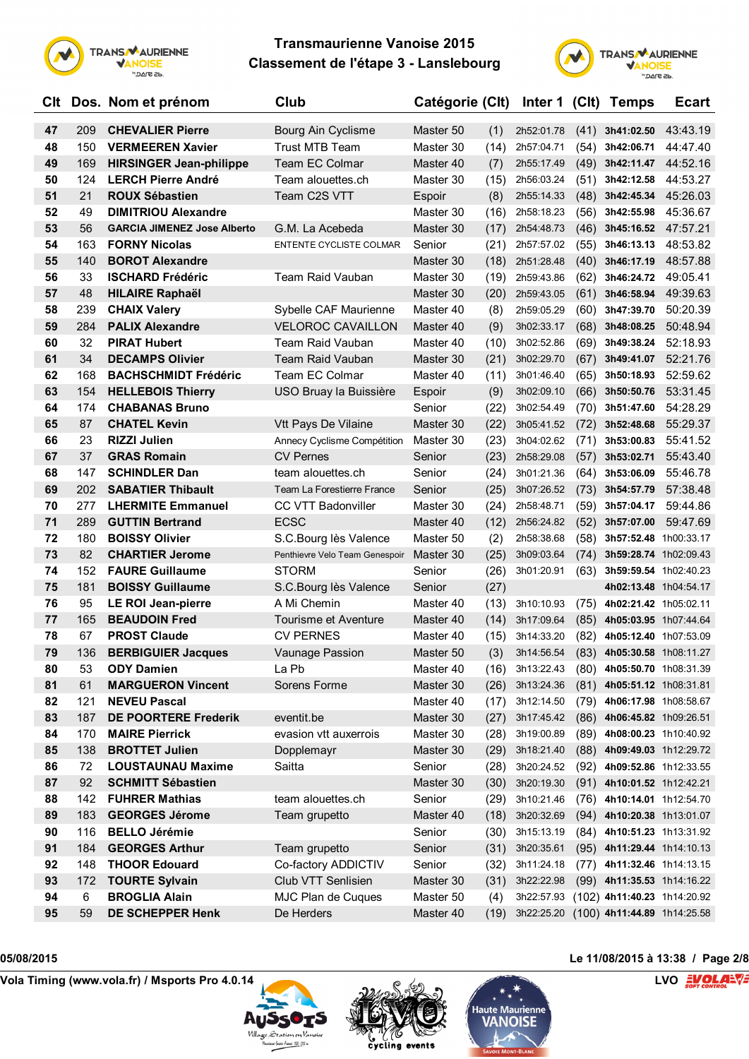



| Clt |     | Dos. Nom et prénom                 | Club                           | Catégorie (Clt) |      | Inter 1 (Clt) |      | <b>Temps</b>                           | <b>Ecart</b>          |
|-----|-----|------------------------------------|--------------------------------|-----------------|------|---------------|------|----------------------------------------|-----------------------|
| 47  | 209 | <b>CHEVALIER Pierre</b>            | Bourg Ain Cyclisme             | Master 50       | (1)  | 2h52:01.78    | (41) | 3h41:02.50                             | 43:43.19              |
| 48  | 150 | <b>VERMEEREN Xavier</b>            | Trust MTB Team                 | Master 30       | (14) | 2h57:04.71    | (54) | 3h42:06.71                             | 44:47.40              |
| 49  | 169 | <b>HIRSINGER Jean-philippe</b>     | <b>Team EC Colmar</b>          | Master 40       | (7)  | 2h55:17.49    | (49) | 3h42:11.47 44:52.16                    |                       |
| 50  | 124 | <b>LERCH Pierre André</b>          | Team alouettes.ch              | Master 30       | (15) | 2h56:03.24    | (51) | 3h42:12.58                             | 44:53.27              |
| 51  | 21  | <b>ROUX Sébastien</b>              | Team C2S VTT                   | Espoir          | (8)  | 2h55:14.33    | (48) | 3h42:45.34                             | 45:26.03              |
| 52  | 49  | <b>DIMITRIOU Alexandre</b>         |                                | Master 30       | (16) | 2h58:18.23    | (56) | 3h42:55.98                             | 45:36.67              |
| 53  | 56  | <b>GARCIA JIMENEZ Jose Alberto</b> | G.M. La Acebeda                | Master 30       | (17) | 2h54:48.73    | (46) | 3h45:16.52                             | 47:57.21              |
| 54  | 163 | <b>FORNY Nicolas</b>               | ENTENTE CYCLISTE COLMAR        | Senior          | (21) | 2h57:57.02    | (55) | 3h46:13.13                             | 48:53.82              |
| 55  | 140 | <b>BOROT Alexandre</b>             |                                | Master 30       | (18) | 2h51:28.48    | (40) | 3h46:17.19                             | 48:57.88              |
| 56  | 33  | <b>ISCHARD Frédéric</b>            | <b>Team Raid Vauban</b>        | Master 30       | (19) | 2h59:43.86    | (62) | 3h46:24.72                             | 49:05.41              |
| 57  | 48  | <b>HILAIRE Raphaël</b>             |                                | Master 30       | (20) | 2h59:43.05    | (61) | 3h46:58.94                             | 49:39.63              |
| 58  | 239 | <b>CHAIX Valery</b>                | Sybelle CAF Maurienne          | Master 40       | (8)  | 2h59:05.29    | (60) | 3h47:39.70                             | 50:20.39              |
| 59  | 284 | <b>PALIX Alexandre</b>             | <b>VELOROC CAVAILLON</b>       | Master 40       | (9)  | 3h02:33.17    |      | $(68)$ 3h48:08.25                      | 50:48.94              |
| 60  | 32  | <b>PIRAT Hubert</b>                | <b>Team Raid Vauban</b>        | Master 40       | (10) | 3h02:52.86    | (69) | 3h49:38.24                             | 52:18.93              |
| 61  | 34  | <b>DECAMPS Olivier</b>             | Team Raid Vauban               | Master 30       | (21) | 3h02:29.70    | (67) | 3h49:41.07                             | 52:21.76              |
| 62  | 168 | <b>BACHSCHMIDT Frédéric</b>        | Team EC Colmar                 | Master 40       | (11) | 3h01:46.40    | (65) | 3h50:18.93                             | 52:59.62              |
| 63  | 154 | <b>HELLEBOIS Thierry</b>           | USO Bruay la Buissière         | Espoir          | (9)  | 3h02:09.10    | (66) | 3h50:50.76                             | 53:31.45              |
| 64  | 174 | <b>CHABANAS Bruno</b>              |                                | Senior          | (22) | 3h02:54.49    | (70) | 3h51:47.60                             | 54:28.29              |
| 65  | 87  | <b>CHATEL Kevin</b>                | Vtt Pays De Vilaine            | Master 30       | (22) | 3h05:41.52    | (72) | 3h52:48.68                             | 55:29.37              |
| 66  | 23  | <b>RIZZI Julien</b>                | Annecy Cyclisme Compétition    | Master 30       | (23) | 3h04:02.62    | (71) | 3h53:00.83                             | 55:41.52              |
| 67  | 37  | <b>GRAS Romain</b>                 | <b>CV Pernes</b>               | Senior          | (23) | 2h58:29.08    | (57) | 3h53:02.71                             | 55:43.40              |
| 68  | 147 | <b>SCHINDLER Dan</b>               | team alouettes.ch              | Senior          | (24) | 3h01:21.36    | (64) | 3h53:06.09                             | 55:46.78              |
| 69  | 202 | <b>SABATIER Thibault</b>           | Team La Forestierre France     | Senior          | (25) | 3h07:26.52    | (73) | 3h54:57.79                             | 57:38.48              |
| 70  | 277 | <b>LHERMITE Emmanuel</b>           | CC VTT Badonviller             | Master 30       | (24) | 2h58:48.71    | (59) | 3h57:04.17                             | 59:44.86              |
| 71  | 289 | <b>GUTTIN Bertrand</b>             | <b>ECSC</b>                    | Master 40       | (12) | 2h56:24.82    | (52) | 3h57:07.00                             | 59:47.69              |
| 72  | 180 | <b>BOISSY Olivier</b>              | S.C.Bourg lès Valence          | Master 50       | (2)  | 2h58:38.68    | (58) | 3h57:52.48 1h00:33.17                  |                       |
| 73  | 82  | <b>CHARTIER Jerome</b>             | Penthievre Velo Team Genespoir | Master 30       | (25) | 3h09:03.64    | (74) | 3h59:28.74 1h02:09.43                  |                       |
| 74  | 152 | <b>FAURE Guillaume</b>             | <b>STORM</b>                   | Senior          | (26) | 3h01:20.91    | (63) | 3h59:59.54 1h02:40.23                  |                       |
| 75  | 181 | <b>BOISSY Guillaume</b>            | S.C.Bourg lès Valence          | Senior          | (27) |               |      |                                        | 4h02:13.48 1h04:54.17 |
| 76  | 95  | <b>LE ROI Jean-pierre</b>          | A Mi Chemin                    | Master 40       | (13) | 3h10:10.93    | (75) | 4h02:21.42 1h05:02.11                  |                       |
| 77  | 165 | <b>BEAUDOIN Fred</b>               | Tourisme et Aventure           | Master 40       | (14) | 3h17:09.64    | (85) | 4h05:03.95 1h07:44.64                  |                       |
| 78  | 67  | <b>PROST Claude</b>                | <b>CV PERNES</b>               | Master 40       | (15) | 3h14:33.20    | (82) | 4h05:12.40 1h07:53.09                  |                       |
| 79  | 136 | <b>BERBIGUIER Jacques</b>          | Vaunage Passion                | Master 50       | (3)  | 3h14:56.54    | (83) | 4h05:30.58 1h08:11.27                  |                       |
| 80  | 53  | <b>ODY Damien</b>                  | La Pb                          | Master 40       | (16) | 3h13:22.43    |      | (80) 4h05:50.70 1h08:31.39             |                       |
| 81  | 61  | <b>MARGUERON Vincent</b>           | Sorens Forme                   | Master 30       | (26) | 3h13:24.36    |      | $(81)$ 4h05:51.12 1h08:31.81           |                       |
| 82  | 121 | <b>NEVEU Pascal</b>                |                                | Master 40       | (17) | 3h12:14.50    |      | (79) 4h06:17.98 1h08:58.67             |                       |
| 83  | 187 | <b>DE POORTERE Frederik</b>        | eventit.be                     | Master 30       | (27) | 3h17:45.42    |      | (86) 4h06:45.82 1h09:26.51             |                       |
| 84  | 170 | <b>MAIRE Pierrick</b>              | evasion vtt auxerrois          | Master 30       | (28) | 3h19:00.89    |      | (89) 4h08:00.23 1h10:40.92             |                       |
| 85  | 138 | <b>BROTTET Julien</b>              | Dopplemayr                     | Master 30       | (29) | 3h18:21.40    |      | $(88)$ 4h09:49.03 1h12:29.72           |                       |
| 86  | 72  | <b>LOUSTAUNAU Maxime</b>           | Saitta                         | Senior          | (28) | 3h20:24.52    |      | (92) 4h09:52.86 1h12:33.55             |                       |
| 87  | 92  | <b>SCHMITT Sébastien</b>           |                                | Master 30       | (30) | 3h20:19.30    |      | (91) 4h10:01.52 1h12:42.21             |                       |
| 88  | 142 | <b>FUHRER Mathias</b>              | team alouettes.ch              | Senior          | (29) | 3h10:21.46    |      | (76) 4h10:14.01 1h12:54.70             |                       |
| 89  | 183 | <b>GEORGES Jérome</b>              | Team grupetto                  | Master 40       | (18) | 3h20:32.69    |      | $(94)$ 4h10:20.38 1h13:01.07           |                       |
| 90  | 116 | <b>BELLO Jérémie</b>               |                                | Senior          | (30) | 3h15:13.19    |      | (84) 4h10:51.23 1h13:31.92             |                       |
| 91  | 184 | <b>GEORGES Arthur</b>              | Team grupetto                  | Senior          | (31) | 3h20:35.61    |      | $(95)$ 4h11:29.44 1h14:10.13           |                       |
| 92  | 148 | <b>THOOR Edouard</b>               | Co-factory ADDICTIV            | Senior          | (32) | 3h11:24.18    |      | (77) 4h11:32.46 1h14:13.15             |                       |
| 93  | 172 | <b>TOURTE Sylvain</b>              | Club VTT Senlisien             | Master 30       | (31) | 3h22:22.98    |      | (99) 4h11:35.53 1h14:16.22             |                       |
| 94  | 6   | <b>BROGLIA Alain</b>               | MJC Plan de Cuques             | Master 50       | (4)  | 3h22:57.93    |      | (102) 4h11:40.23 1h14:20.92            |                       |
| 95  | 59  | DE SCHEPPER Henk                   | De Herders                     | Master 40       | (19) |               |      | 3h22:25.20 (100) 4h11:44.89 1h14:25.58 |                       |
|     |     |                                    |                                |                 |      |               |      |                                        |                       |







## **05/08/2015 Le 11/08/2015 à 13:38 / Page 2/8**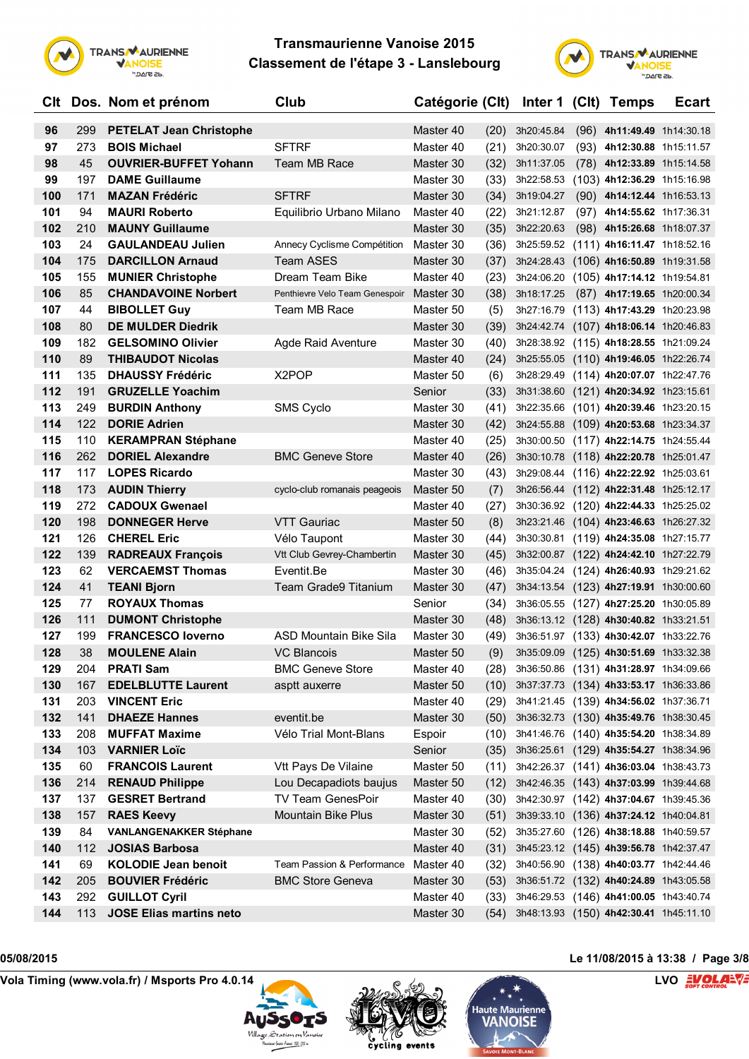



|     |     | CIt Dos. Nom et prénom         | Club                           | Catégorie (Clt) |      |                                        | Inter 1 (CIt) Temps                    | <b>Ecart</b> |
|-----|-----|--------------------------------|--------------------------------|-----------------|------|----------------------------------------|----------------------------------------|--------------|
| 96  | 299 | <b>PETELAT Jean Christophe</b> |                                | Master 40       | (20) | 3h20:45.84                             | $(96)$ 4h11:49.49 1h14:30.18           |              |
| 97  | 273 | <b>BOIS Michael</b>            | <b>SFTRF</b>                   | Master 40       | (21) | 3h20:30.07                             | (93) 4h12:30.88 1h15:11.57             |              |
| 98  | 45  | <b>OUVRIER-BUFFET Yohann</b>   | Team MB Race                   | Master 30       | (32) | 3h11:37.05                             | (78) 4h12:33.89 1h15:14.58             |              |
| 99  | 197 | <b>DAME Guillaume</b>          |                                | Master 30       | (33) | 3h22:58.53                             | (103) 4h12:36.29 1h15:16.98            |              |
| 100 | 171 | <b>MAZAN Frédéric</b>          | <b>SFTRF</b>                   | Master 30       | (34) | 3h19:04.27                             | $(90)$ 4h14:12.44 1h16:53.13           |              |
| 101 | 94  | <b>MAURI Roberto</b>           | Equilibrio Urbano Milano       | Master 40       | (22) | 3h21:12.87                             | $(97)$ 4h14:55.62 1h17:36.31           |              |
| 102 | 210 | <b>MAUNY Guillaume</b>         |                                | Master 30       | (35) | 3h22:20.63                             | $(98)$ 4h15:26.68 1h18:07.37           |              |
| 103 | 24  | <b>GAULANDEAU Julien</b>       | Annecy Cyclisme Compétition    | Master 30       | (36) | 3h25:59.52                             | $(111)$ 4h16:11.47 1h18:52.16          |              |
| 104 | 175 | <b>DARCILLON Arnaud</b>        | <b>Team ASES</b>               | Master 30       | (37) | 3h24:28.43                             | (106) 4h16:50.89 1h19:31.58            |              |
| 105 | 155 | <b>MUNIER Christophe</b>       | Dream Team Bike                | Master 40       | (23) | 3h24:06.20                             | (105) 4h17:14.12 1h19:54.81            |              |
| 106 | 85  | <b>CHANDAVOINE Norbert</b>     | Penthievre Velo Team Genespoir | Master 30       | (38) | 3h18:17.25                             | (87) 4h17:19.65 1h20:00.34             |              |
| 107 | 44  | <b>BIBOLLET Guy</b>            | Team MB Race                   | Master 50       | (5)  | 3h27:16.79                             | $(113)$ 4h17:43.29 1h20:23.98          |              |
| 108 | 80  | <b>DE MULDER Diedrik</b>       |                                | Master 30       | (39) |                                        | 3h24:42.74 (107) 4h18:06.14 1h20:46.83 |              |
| 109 | 182 | <b>GELSOMINO Olivier</b>       | Agde Raid Aventure             | Master 30       | (40) |                                        | 3h28:38.92 (115) 4h18:28.55 1h21:09.24 |              |
| 110 | 89  | <b>THIBAUDOT Nicolas</b>       |                                | Master 40       | (24) | 3h25:55.05                             | (110) 4h19:46.05 1h22:26.74            |              |
| 111 | 135 | <b>DHAUSSY Frédéric</b>        | X <sub>2</sub> POP             | Master 50       | (6)  |                                        | 3h28:29.49 (114) 4h20:07.07 1h22:47.76 |              |
| 112 | 191 | <b>GRUZELLE Yoachim</b>        |                                | Senior          | (33) |                                        | 3h31:38.60 (121) 4h20:34.92 1h23:15.61 |              |
| 113 | 249 | <b>BURDIN Anthony</b>          | SMS Cyclo                      | Master 30       | (41) | 3h22:35.66                             | (101) 4h20:39.46 1h23:20.15            |              |
| 114 | 122 | <b>DORIE Adrien</b>            |                                | Master 30       | (42) | 3h24:55.88                             | $(109)$ 4h20:53.68 1h23:34.37          |              |
| 115 | 110 | <b>KERAMPRAN Stéphane</b>      |                                | Master 40       | (25) | 3h30:00.50                             | (117) 4h22:14.75 1h24:55.44            |              |
| 116 | 262 | <b>DORIEL Alexandre</b>        | <b>BMC Geneve Store</b>        | Master 40       | (26) | 3h30:10.78                             | $(118)$ 4h22:20.78 1h25:01.47          |              |
| 117 | 117 | <b>LOPES Ricardo</b>           |                                | Master 30       | (43) |                                        | 3h29:08.44 (116) 4h22:22.92 1h25:03.61 |              |
| 118 | 173 | <b>AUDIN Thierry</b>           | cyclo-club romanais peageois   | Master 50       | (7)  |                                        | 3h26:56.44 (112) 4h22:31.48 1h25:12.17 |              |
| 119 | 272 | <b>CADOUX Gwenael</b>          |                                | Master 40       | (27) |                                        | 3h30:36.92 (120) 4h22:44.33 1h25:25.02 |              |
| 120 | 198 | <b>DONNEGER Herve</b>          | <b>VTT Gauriac</b>             | Master 50       | (8)  |                                        | 3h23:21.46 (104) 4h23:46.63 1h26:27.32 |              |
| 121 | 126 | <b>CHEREL Eric</b>             | Vélo Taupont                   | Master 30       | (44) |                                        | 3h30:30.81 (119) 4h24:35.08 1h27:15.77 |              |
| 122 | 139 | <b>RADREAUX François</b>       | Vtt Club Gevrey-Chambertin     | Master 30       | (45) |                                        | 3h32:00.87 (122) 4h24:42.10 1h27:22.79 |              |
| 123 | 62  | <b>VERCAEMST Thomas</b>        | Eventit.Be                     | Master 30       | (46) |                                        | 3h35:04.24 (124) 4h26:40.93 1h29:21.62 |              |
| 124 | 41  | <b>TEANI Bjorn</b>             | <b>Team Grade9 Titanium</b>    | Master 30       | (47) |                                        | 3h34:13.54 (123) 4h27:19.91 1h30:00.60 |              |
| 125 | 77  | <b>ROYAUX Thomas</b>           |                                | Senior          | (34) |                                        | 3h36:05.55 (127) 4h27:25.20 1h30:05.89 |              |
| 126 | 111 | <b>DUMONT Christophe</b>       |                                | Master 30       | (48) |                                        | 3h36:13.12 (128) 4h30:40.82 1h33:21.51 |              |
| 127 | 199 | <b>FRANCESCO loverno</b>       | ASD Mountain Bike Sila         | Master 30       | (49) |                                        | 3h36:51.97 (133) 4h30:42.07 1h33:22.76 |              |
| 128 | 38  | <b>MOULENE Alain</b>           | VC Blancois                    | Master 50       | (9)  |                                        | 3h35:09.09 (125) 4h30:51.69 1h33:32.38 |              |
| 129 | 204 | <b>PRATI Sam</b>               | <b>BMC Geneve Store</b>        | Master 40       | (28) |                                        | 3h36:50.86 (131) 4h31:28.97 1h34:09.66 |              |
| 130 | 167 | <b>EDELBLUTTE Laurent</b>      | asptt auxerre                  | Master 50       | (10) |                                        | 3h37:37.73 (134) 4h33:53.17 1h36:33.86 |              |
| 131 | 203 | <b>VINCENT Eric</b>            |                                | Master 40       | (29) | 3h41:21.45 (139) 4h34:56.02 1h37:36.71 |                                        |              |
| 132 | 141 | <b>DHAEZE Hannes</b>           | eventit.be                     | Master 30       | (50) |                                        | 3h36:32.73 (130) 4h35:49.76 1h38:30.45 |              |
| 133 | 208 | <b>MUFFAT Maxime</b>           | Vélo Trial Mont-Blans          | Espoir          | (10) |                                        | 3h41:46.76 (140) 4h35:54.20 1h38:34.89 |              |
| 134 | 103 | <b>VARNIER Loïc</b>            |                                | Senior          | (35) |                                        | 3h36:25.61 (129) 4h35:54.27 1h38:34.96 |              |
| 135 | 60  | <b>FRANCOIS Laurent</b>        | Vtt Pays De Vilaine            | Master 50       | (11) |                                        | 3h42:26.37 (141) 4h36:03.04 1h38:43.73 |              |
| 136 | 214 | <b>RENAUD Philippe</b>         | Lou Decapadiots baujus         | Master 50       | (12) |                                        | 3h42:46.35 (143) 4h37:03.99 1h39:44.68 |              |
| 137 | 137 | <b>GESRET Bertrand</b>         | TV Team GenesPoir              | Master 40       | (30) | 3h42:30.97 (142) 4h37:04.67 1h39:45.36 |                                        |              |
| 138 | 157 | <b>RAES Keevy</b>              | Mountain Bike Plus             | Master 30       | (51) |                                        | 3h39:33.10 (136) 4h37:24.12 1h40:04.81 |              |
| 139 | 84  | <b>VANLANGENAKKER Stéphane</b> |                                | Master 30       | (52) |                                        | 3h35:27.60 (126) 4h38:18.88 1h40:59.57 |              |
| 140 | 112 | <b>JOSIAS Barbosa</b>          |                                | Master 40       | (31) |                                        | 3h45:23.12 (145) 4h39:56.78 1h42:37.47 |              |
| 141 | 69  | <b>KOLODIE Jean benoit</b>     | Team Passion & Performance     | Master 40       | (32) |                                        | 3h40:56.90 (138) 4h40:03.77 1h42:44.46 |              |
| 142 | 205 | <b>BOUVIER Frédéric</b>        | <b>BMC Store Geneva</b>        | Master 30       | (53) |                                        | 3h36:51.72 (132) 4h40:24.89 1h43:05.58 |              |
| 143 | 292 | <b>GUILLOT Cyril</b>           |                                | Master 40       | (33) |                                        | 3h46:29.53 (146) 4h41:00.05 1h43:40.74 |              |
| 144 | 113 | <b>JOSE Elias martins neto</b> |                                | Master 30       | (54) |                                        | 3h48:13.93 (150) 4h42:30.41 1h45:11.10 |              |







## **05/08/2015 Le 11/08/2015 à 13:38 / Page 3/8**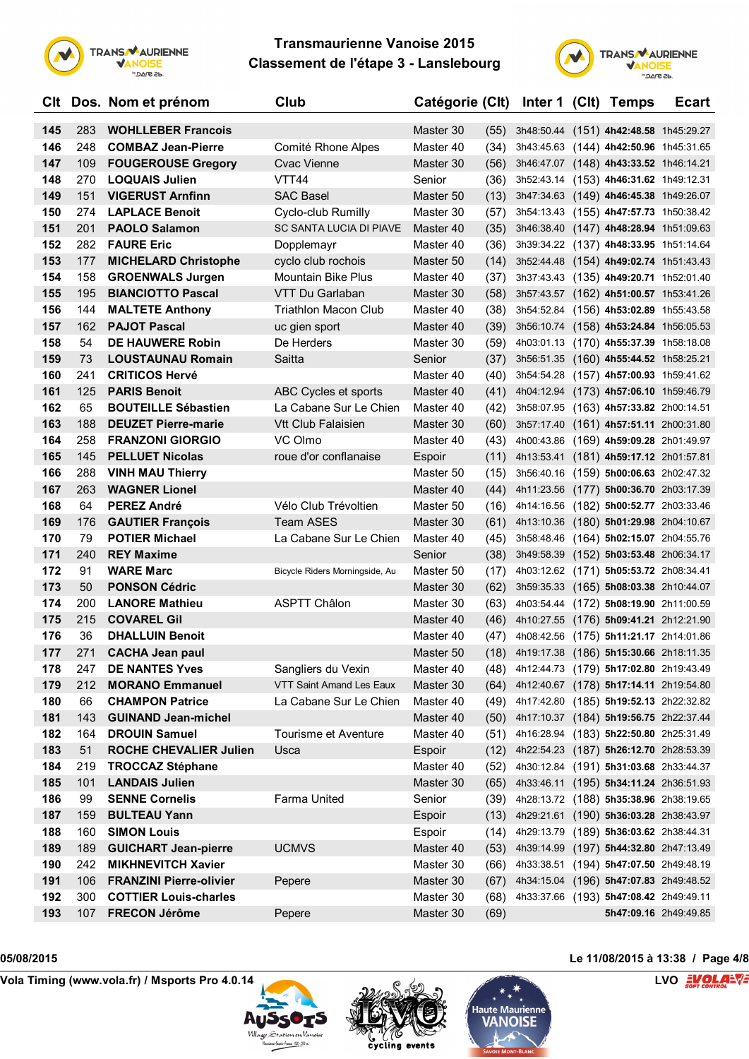



|     |      | CIt Dos. Nom et prénom         | Club                            | Catégorie (Clt) |      |                                             | Inter 1 (Clt) Temps                    | <b>Ecart</b> |
|-----|------|--------------------------------|---------------------------------|-----------------|------|---------------------------------------------|----------------------------------------|--------------|
| 145 | 283  | <b>WOHLLEBER Francois</b>      |                                 | Master 30       | (55) |                                             | 3h48:50.44 (151) 4h42:48.58 1h45:29.27 |              |
| 146 | 248  | <b>COMBAZ Jean-Pierre</b>      | Comité Rhone Alpes              | Master 40       | (34) |                                             | 3h43:45.63 (144) 4h42:50.96 1h45:31.65 |              |
| 147 | 109  | <b>FOUGEROUSE Gregory</b>      | Cvac Vienne                     | Master 30       | (56) |                                             | 3h46:47.07 (148) 4h43:33.52 1h46:14.21 |              |
| 148 | 270  | <b>LOQUAIS Julien</b>          | VTT44                           | Senior          | (36) |                                             | 3h52:43.14 (153) 4h46:31.62 1h49:12.31 |              |
| 149 | 151  | <b>VIGERUST Arnfinn</b>        | <b>SAC Basel</b>                | Master 50       | (13) |                                             | 3h47:34.63 (149) 4h46:45.38 1h49:26.07 |              |
| 150 | 274  | <b>LAPLACE Benoit</b>          | Cyclo-club Rumilly              | Master 30       | (57) |                                             | 3h54:13.43 (155) 4h47:57.73 1h50:38.42 |              |
| 151 | 201  | <b>PAOLO Salamon</b>           | SC SANTA LUCIA DI PIAVE         | Master 40       | (35) |                                             | 3h46:38.40 (147) 4h48:28.94 1h51:09.63 |              |
| 152 | 282. | <b>FAURE Eric</b>              | Dopplemayr                      | Master 40       | (36) |                                             | 3h39:34.22 (137) 4h48:33.95 1h51:14.64 |              |
| 153 | 177  | <b>MICHELARD Christophe</b>    | cyclo club rochois              | Master 50       | (14) |                                             | 3h52:44.48 (154) 4h49:02.74 1h51:43.43 |              |
| 154 | 158  | <b>GROENWALS Jurgen</b>        | Mountain Bike Plus              | Master 40       | (37) |                                             | 3h37:43.43 (135) 4h49:20.71 1h52:01.40 |              |
| 155 | 195  | <b>BIANCIOTTO Pascal</b>       | VTT Du Garlaban                 | Master 30       | (58) |                                             | 3h57:43.57 (162) 4h51:00.57 1h53:41.26 |              |
| 156 | 144  | <b>MALTETE Anthony</b>         | <b>Triathlon Macon Club</b>     | Master 40       | (38) |                                             | 3h54:52.84 (156) 4h53:02.89 1h55:43.58 |              |
| 157 | 162  | <b>PAJOT Pascal</b>            | uc gien sport                   | Master 40       | (39) |                                             | 3h56:10.74 (158) 4h53:24.84 1h56:05.53 |              |
| 158 | 54   | <b>DE HAUWERE Robin</b>        | De Herders                      | Master 30       | (59) |                                             | 4h03:01.13 (170) 4h55:37.39 1h58:18.08 |              |
| 159 | 73   | <b>LOUSTAUNAU Romain</b>       | Saitta                          | Senior          | (37) |                                             | 3h56:51.35 (160) 4h55:44.52 1h58:25.21 |              |
| 160 | 241  | <b>CRITICOS Hervé</b>          |                                 | Master 40       | (40) |                                             | 3h54:54.28 (157) 4h57:00.93 1h59:41.62 |              |
| 161 | 125  | <b>PARIS Benoit</b>            | ABC Cycles et sports            | Master 40       | (41) |                                             | 4h04:12.94 (173) 4h57:06.10 1h59:46.79 |              |
| 162 | 65   | <b>BOUTEILLE Sébastien</b>     | La Cabane Sur Le Chien          | Master 40       | (42) |                                             | 3h58:07.95 (163) 4h57:33.82 2h00:14.51 |              |
| 163 | 188  | <b>DEUZET Pierre-marie</b>     | Vtt Club Falaisien              | Master 30       | (60) |                                             | 3h57:17.40 (161) 4h57:51.11 2h00:31.80 |              |
| 164 | 258  | <b>FRANZONI GIORGIO</b>        | VC Olmo                         | Master 40       | (43) |                                             | 4h00:43.86 (169) 4h59:09.28 2h01:49.97 |              |
| 165 | 145  | <b>PELLUET Nicolas</b>         | roue d'or conflanaise           | Espoir          | (11) |                                             | 4h13:53.41 (181) 4h59:17.12 2h01:57.81 |              |
| 166 | 288  | <b>VINH MAU Thierry</b>        |                                 | Master 50       | (15) |                                             | 3h56:40.16 (159) 5h00:06.63 2h02:47.32 |              |
| 167 | 263  | <b>WAGNER Lionel</b>           |                                 | Master 40       | (44) |                                             | 4h11:23.56 (177) 5h00:36.70 2h03:17.39 |              |
| 168 | 64   | <b>PEREZ André</b>             | Vélo Club Trévoltien            | Master 50       | (16) |                                             | 4h14:16.56 (182) 5h00:52.77 2h03:33.46 |              |
| 169 | 176  | <b>GAUTIER François</b>        | <b>Team ASES</b>                | Master 30       | (61) |                                             | 4h13:10.36 (180) 5h01:29.98 2h04:10.67 |              |
| 170 | 79   | <b>POTIER Michael</b>          | La Cabane Sur Le Chien          | Master 40       | (45) |                                             | 3h58:48.46 (164) 5h02:15.07 2h04:55.76 |              |
| 171 | 240  | <b>REY Maxime</b>              |                                 | Senior          | (38) |                                             | 3h49:58.39 (152) 5h03:53.48 2h06:34.17 |              |
| 172 | 91   | <b>WARE Marc</b>               | Bicycle Riders Morningside, Au  | Master 50       | (17) |                                             | 4h03:12.62 (171) 5h05:53.72 2h08:34.41 |              |
| 173 | 50   | <b>PONSON Cédric</b>           |                                 | Master 30       | (62) |                                             | 3h59:35.33 (165) 5h08:03.38 2h10:44.07 |              |
| 174 | 200  | <b>LANORE Mathieu</b>          | <b>ASPTT Châlon</b>             | Master 30       | (63) |                                             | 4h03:54.44 (172) 5h08:19.90 2h11:00.59 |              |
| 175 | 215  | <b>COVAREL Gil</b>             |                                 | Master 40       | (46) |                                             | 4h10:27.55 (176) 5h09:41.21 2h12:21.90 |              |
| 176 | 36   | <b>DHALLUIN Benoit</b>         |                                 | Master 40       | (47) |                                             | 4h08:42.56 (175) 5h11:21.17 2h14:01.86 |              |
| 177 | 271  | <b>CACHA Jean paul</b>         |                                 | Master 50       |      | (18) 4h19:17.38 (186) 5h15:30.66 2h18:11.35 |                                        |              |
| 178 | 247  | <b>DE NANTES Yves</b>          | Sangliers du Vexin              | Master 40       | (48) | 4h12:44.73 (179) 5h17:02.80 2h19:43.49      |                                        |              |
| 179 | 212  | <b>MORANO Emmanuel</b>         | <b>VTT Saint Amand Les Eaux</b> | Master 30       | (64) |                                             | 4h12:40.67 (178) 5h17:14.11 2h19:54.80 |              |
| 180 | 66   | <b>CHAMPON Patrice</b>         | La Cabane Sur Le Chien          | Master 40       | (49) | 4h17:42.80 (185) 5h19:52.13 2h22:32.82      |                                        |              |
| 181 | 143  | <b>GUINAND Jean-michel</b>     |                                 | Master 40       | (50) |                                             | 4h17:10.37 (184) 5h19:56.75 2h22:37.44 |              |
| 182 | 164  | <b>DROUIN Samuel</b>           | Tourisme et Aventure            | Master 40       | (51) |                                             | 4h16:28.94 (183) 5h22:50.80 2h25:31.49 |              |
| 183 | 51   | <b>ROCHE CHEVALIER Julien</b>  | Usca                            | Espoir          | (12) |                                             | 4h22:54.23 (187) 5h26:12.70 2h28:53.39 |              |
| 184 | 219  | <b>TROCCAZ Stéphane</b>        |                                 | Master 40       | (52) |                                             | 4h30:12.84 (191) 5h31:03.68 2h33:44.37 |              |
| 185 | 101  | <b>LANDAIS Julien</b>          |                                 | Master 30       | (65) |                                             | 4h33:46.11 (195) 5h34:11.24 2h36:51.93 |              |
| 186 | 99   | <b>SENNE Cornelis</b>          | Farma United                    | Senior          | (39) |                                             | 4h28:13.72 (188) 5h35:38.96 2h38:19.65 |              |
| 187 | 159  | <b>BULTEAU Yann</b>            |                                 | Espoir          | (13) |                                             | 4h29:21.61 (190) 5h36:03.28 2h38:43.97 |              |
| 188 | 160  | <b>SIMON Louis</b>             |                                 | Espoir          | (14) |                                             | 4h29:13.79 (189) 5h36:03.62 2h38:44.31 |              |
| 189 | 189  | <b>GUICHART Jean-pierre</b>    | <b>UCMVS</b>                    | Master 40       | (53) |                                             | 4h39:14.99 (197) 5h44:32.80 2h47:13.49 |              |
| 190 | 242  | <b>MIKHNEVITCH Xavier</b>      |                                 | Master 30       | (66) |                                             | 4h33:38.51 (194) 5h47:07.50 2h49:48.19 |              |
| 191 | 106  | <b>FRANZINI Pierre-olivier</b> | Pepere                          | Master 30       | (67) |                                             | 4h34:15.04 (196) 5h47:07.83 2h49:48.52 |              |
| 192 | 300  | <b>COTTIER Louis-charles</b>   |                                 | Master 30       | (68) |                                             | 4h33:37.66 (193) 5h47:08.42 2h49:49.11 |              |
| 193 | 107  | <b>FRECON Jérôme</b>           | Pepere                          | Master 30       | (69) |                                             | 5h47:09.16 2h49:49.85                  |              |





**05/08/2015 Le 11/08/2015 à 13:38 / Page 4/8**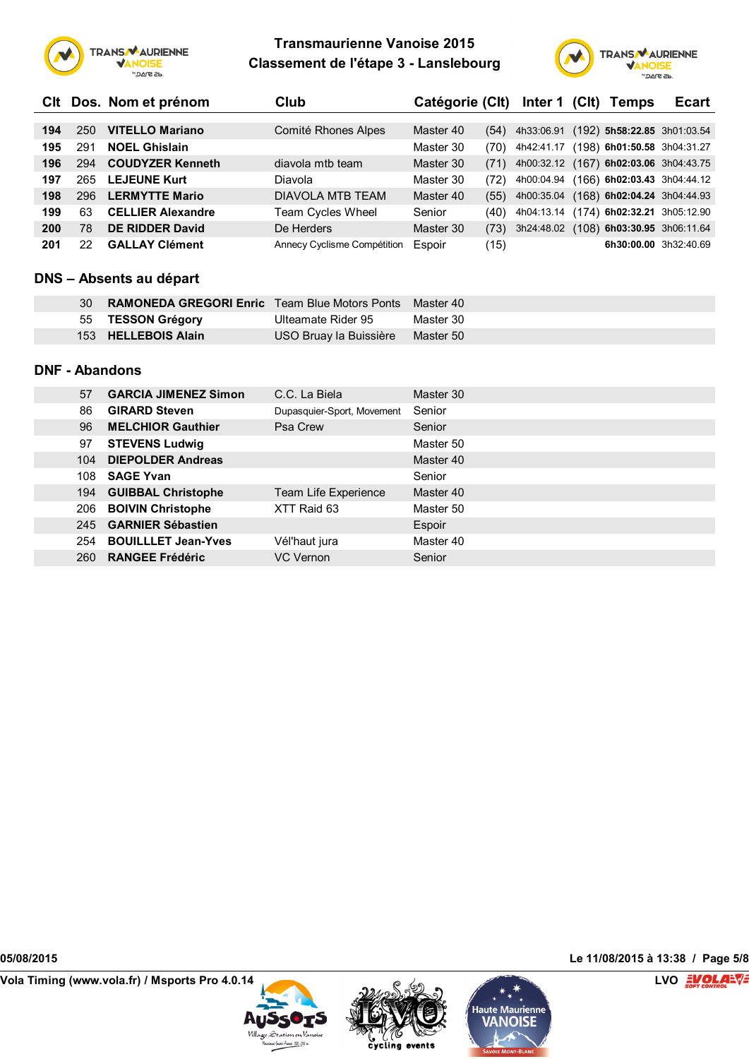



|     |     | CIt Dos. Nom et prénom   | Club                               | Catégorie (Clt) |      | Inter 1 (Clt)                          | Temps                         | <b>Ecart</b> |
|-----|-----|--------------------------|------------------------------------|-----------------|------|----------------------------------------|-------------------------------|--------------|
|     |     |                          |                                    |                 |      |                                        |                               |              |
| 194 | 250 | <b>VITELLO Mariano</b>   | Comité Rhones Alpes                | Master 40       | (54) | 4h33:06.91                             | $(192)$ 5h58:22.85 3h01:03.54 |              |
| 195 | 291 | <b>NOEL Ghislain</b>     |                                    | Master 30       | (70) | 4h42:41.17                             | (198) 6h01:50.58 3h04:31.27   |              |
| 196 | 294 | <b>COUDYZER Kenneth</b>  | diavola mtb team                   | Master 30       | (71) | 4h00:32.12 (167) 6h02:03.06 3h04:43.75 |                               |              |
| 197 | 265 | <b>LEJEUNE Kurt</b>      | Diavola                            | Master 30       | (72) | 4h00:04.94                             | (166) 6h02:03.43 3h04:44.12   |              |
| 198 | 296 | <b>LERMYTTE Mario</b>    | DIAVOLA MTB TEAM                   | Master 40       | (55) | 4h00:35.04                             | $(168)$ 6h02:04.24 3h04:44.93 |              |
| 199 | 63  | <b>CELLIER Alexandre</b> | <b>Team Cycles Wheel</b>           | Senior          | (40) | 4h04:13.14                             | (174) 6h02:32.21 3h05:12.90   |              |
| 200 | 78  | <b>DE RIDDER David</b>   | De Herders                         | Master 30       | (73) | 3h24:48.02                             | (108) 6h03:30.95 3h06:11.64   |              |
| 201 | 22  | <b>GALLAY Clément</b>    | <b>Annecy Cyclisme Compétition</b> | Espoir          | (15) |                                        | 6h30:00.00 3h32:40.69         |              |

### **DNS – Absents au départ**

| 30 | <b>RAMONEDA GREGORI Enric</b> Team Blue Motors Ponts Master 40 |                        |           |
|----|----------------------------------------------------------------|------------------------|-----------|
|    | 55 TESSON Grégory                                              | Ulteamate Rider 95     | Master 30 |
|    | 153 HELLEBOIS Alain                                            | USO Bruay la Buissière | Master 50 |

### **DNF - Abandons**

| 57         | <b>GARCIA JIMENEZ Simon</b>  | C.C. La Biela              | Master 30 |
|------------|------------------------------|----------------------------|-----------|
| 86         | <b>GIRARD Steven</b>         | Dupasquier-Sport, Movement | Senior    |
| 96         | <b>MELCHIOR Gauthier</b>     | Psa Crew                   | Senior    |
| 97         | <b>STEVENS Ludwig</b>        |                            | Master 50 |
| 104        | <b>DIEPOLDER Andreas</b>     |                            | Master 40 |
| 108        | <b>SAGE Yvan</b>             |                            | Senior    |
|            | 194 GUIBBAL Christophe       | Team Life Experience       | Master 40 |
| 206        | <b>BOIVIN Christophe</b>     | XTT Raid 63                | Master 50 |
|            | 245 <b>GARNIER Sébastien</b> |                            | Espoir    |
| 254        | <b>BOUILLLET Jean-Yves</b>   | Vél'haut jura              | Master 40 |
| <b>260</b> | <b>RANGEE Frédéric</b>       | VC Vernon                  | Senior    |

**Vola Timing (www.vola.fr) / Msports Pro 4.0.14 LVO**







**05/08/2015 Le 11/08/2015 à 13:38 / Page 5/8**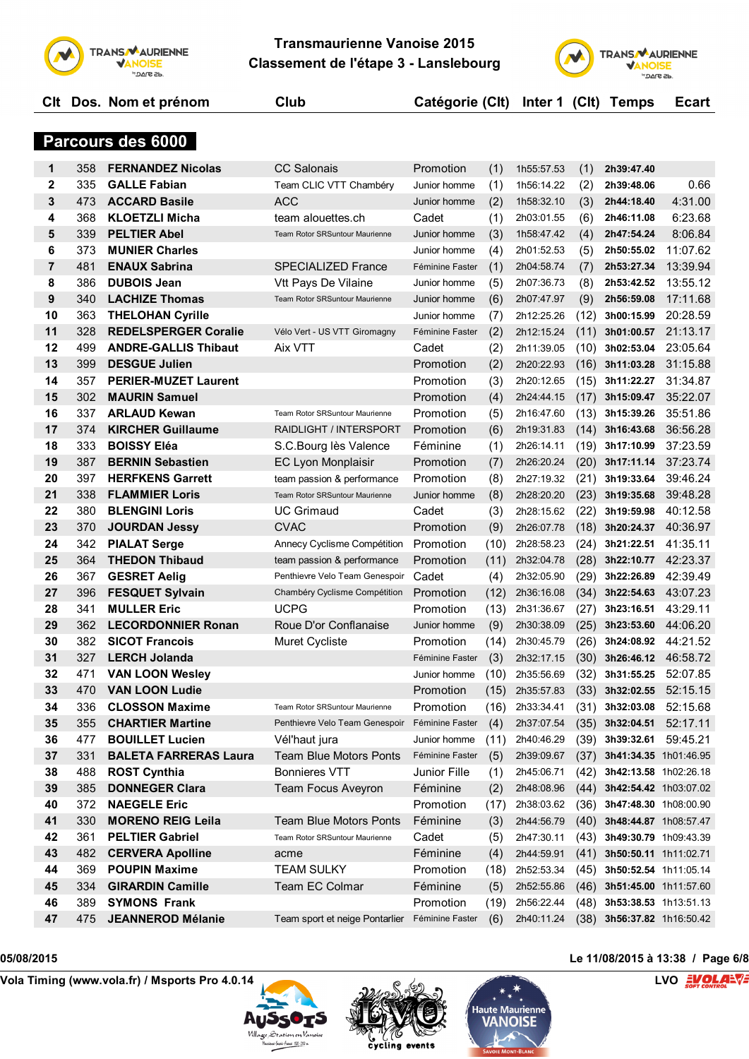



|              |     | CIt Dos. Nom et prénom      | Club                                  | Catégorie (Clt) |     | Inter $1$ (Clt) |      | <b>Temps</b> | Ecart    |
|--------------|-----|-----------------------------|---------------------------------------|-----------------|-----|-----------------|------|--------------|----------|
|              |     |                             |                                       |                 |     |                 |      |              |          |
|              |     | Parcours des 6000           |                                       |                 |     |                 |      |              |          |
| 1            | 358 | <b>FERNANDEZ Nicolas</b>    | <b>CC Salonais</b>                    | Promotion       | (1) | 1h55:57.53      | (1)  | 2h39:47.40   |          |
| $\mathbf{2}$ | 335 | <b>GALLE Fabian</b>         | Team CLIC VTT Chambéry                | Junior homme    | (1) | 1h56:14.22      | (2)  | 2h39:48.06   | 0.66     |
| 3            | 473 | <b>ACCARD Basile</b>        | <b>ACC</b>                            | Junior homme    | (2) | 1h58:32.10      | (3)  | 2h44:18.40   | 4:31.00  |
| 4            | 368 | <b>KLOETZLI Micha</b>       | team alouettes.ch                     | Cadet           | (1) | 2h03:01.55      | (6)  | 2h46:11.08   | 6:23.68  |
| 5            | 339 | <b>PELTIER Abel</b>         | Team Rotor SRSuntour Maurienne        | Junior homme    | (3) | 1h58:47.42      | (4)  | 2h47:54.24   | 8:06.84  |
| 6            | 373 | <b>MUNIER Charles</b>       |                                       | Junior homme    | (4) | 2h01:52.53      | (5)  | 2h50:55.02   | 11:07.62 |
| 7            | 481 | <b>ENAUX Sabrina</b>        | <b>SPECIALIZED France</b>             | Féminine Faster | (1) | 2h04:58.74      | (7)  | 2h53:27.34   | 13:39.94 |
| 8            | 386 | <b>DUBOIS Jean</b>          | Vtt Pays De Vilaine                   | Junior homme    | (5) | 2h07:36.73      | (8)  | 2h53:42.52   | 13:55.12 |
| 9            | 340 | <b>LACHIZE Thomas</b>       | <b>Team Rotor SRSuntour Maurienne</b> | Junior homme    | (6) | 2h07:47.97      | (9)  | 2h56:59.08   | 17:11.68 |
| 10           | 363 | <b>THELOHAN Cyrille</b>     |                                       | Junior homme    | (7) | 2h12:25.26      | (12) | 3h00:15.99   | 20:28.59 |
| 11           | 328 | <b>REDELSPERGER Coralie</b> | Vélo Vert - US VTT Giromagny          | Féminine Faster | (2) | 2h12:15.24      | (11) | 3h01:00.57   | 21:13.17 |
| 12           | 499 | <b>ANDRE-GALLIS Thibaut</b> | Aix VTT                               | Cadet           | (2) | 2h11:39.05      | (10) | 3h02:53.04   | 23:05.64 |
| 13           | 399 | <b>DESGUE Julien</b>        |                                       | Promotion       | (2) | 2h20:22.93      | (16) | 3h11:03.28   | 31:15.88 |
| 14           | 357 | <b>PERIER-MUZET Laurent</b> |                                       | Promotion       | (3) | 2h20:12.65      | (15) | 3h11:22.27   | 31:34.87 |
| 15           | 302 | <b>MAURIN Samuel</b>        |                                       | Promotion       | (4) | 2h24:44.15      | (17) | 3h15:09.47   | 35:22.07 |
| 16           | 337 | <b>ARLAUD Kewan</b>         | Team Rotor SRSuntour Maurienne        | Promotion       | (5) | 2h16:47.60      | (13) | 3h15:39.26   | 35:51.86 |
| 17           | 374 | <b>KIRCHER Guillaume</b>    | RAIDLIGHT / INTERSPORT                | Promotion       | (6) | 2h19:31.83      | (14) | 3h16:43.68   | 36:56.28 |
| 18           | 333 | <b>BOISSY Eléa</b>          | S.C. Bourg lès Valence                | Féminine        | (1) | 2h26:14.11      | (19) | 3h17:10.99   | 37:23.59 |
| 19           | 387 | <b>BERNIN Sebastien</b>     | EC Lyon Monplaisir                    | Promotion       | (7) | 2h26:20.24      | (20) | 3h17:11.14   | 37:23.74 |
| 20           | 397 | <b>HERFKENS Garrett</b>     | team passion & performance            | Promotion       | (8) | 2h27:19.32      | (21) | 3h19:33.64   | 39:46.24 |
| 21           | 338 | <b>FLAMMIER Loris</b>       | Team Rotor SRSuntour Maurienne        | Junior homme    | (8) | 2h28:20.20      | (23) | 3h19:35.68   | 39:48.28 |
|              |     |                             |                                       |                 |     |                 |      |              |          |

| 17 | 374 | <b>KIRCHER Guillaume</b>     | RAIDLIGHT / INTERSPORT                | Promotion       | (6)  | 2h19:31.83 | (14) | 3h16:43.68            | 36:56.28 |
|----|-----|------------------------------|---------------------------------------|-----------------|------|------------|------|-----------------------|----------|
| 18 | 333 | <b>BOISSY Eléa</b>           | S.C.Bourg lès Valence                 | Féminine        | (1)  | 2h26:14.11 | (19) | 3h17:10.99            | 37:23.59 |
| 19 | 387 | <b>BERNIN Sebastien</b>      | <b>EC Lyon Monplaisir</b>             | Promotion       | (7)  | 2h26:20.24 | (20) | 3h17:11.14            | 37:23.74 |
| 20 | 397 | <b>HERFKENS Garrett</b>      | team passion & performance            | Promotion       | (8)  | 2h27:19.32 | (21) | 3h19:33.64            | 39:46.24 |
| 21 | 338 | <b>FLAMMIER Loris</b>        | <b>Team Rotor SRSuntour Maurienne</b> | Junior homme    | (8)  | 2h28:20.20 | (23) | 3h19:35.68            | 39:48.28 |
| 22 | 380 | <b>BLENGINI Loris</b>        | <b>UC Grimaud</b>                     | Cadet           | (3)  | 2h28:15.62 | (22) | 3h19:59.98            | 40:12.58 |
| 23 | 370 | <b>JOURDAN Jessy</b>         | <b>CVAC</b>                           | Promotion       | (9)  | 2h26:07.78 | (18) | 3h20:24.37            | 40:36.97 |
| 24 | 342 | <b>PIALAT Serge</b>          | Annecy Cyclisme Compétition           | Promotion       | (10) | 2h28:58.23 | (24) | 3h21:22.51            | 41:35.11 |
| 25 | 364 | <b>THEDON Thibaud</b>        | team passion & performance            | Promotion       | (11) | 2h32:04.78 | (28) | 3h22:10.77            | 42:23.37 |
| 26 | 367 | <b>GESRET Aelig</b>          | Penthievre Velo Team Genespoir        | Cadet           | (4)  | 2h32:05.90 | (29) | 3h22:26.89            | 42:39.49 |
| 27 | 396 | <b>FESQUET Sylvain</b>       | Chambéry Cyclisme Compétition         | Promotion       | (12) | 2h36:16.08 | (34) | 3h22:54.63            | 43:07.23 |
| 28 | 341 | <b>MULLER Eric</b>           | <b>UCPG</b>                           | Promotion       | (13) | 2h31:36.67 | (27) | 3h23:16.51            | 43:29.11 |
| 29 | 362 | <b>LECORDONNIER Ronan</b>    | Roue D'or Conflanaise                 | Junior homme    | (9)  | 2h30:38.09 | (25) | 3h23:53.60            | 44:06.20 |
| 30 | 382 | <b>SICOT Francois</b>        | <b>Muret Cycliste</b>                 | Promotion       | (14) | 2h30:45.79 | (26) | 3h24:08.92            | 44:21.52 |
| 31 | 327 | <b>LERCH Jolanda</b>         |                                       | Féminine Faster | (3)  | 2h32:17.15 | (30) | 3h26:46.12            | 46:58.72 |
| 32 | 471 | <b>VAN LOON Weslev</b>       |                                       | Junior homme    | (10) | 2h35:56.69 | (32) | 3h31:55.25            | 52:07.85 |
| 33 | 470 | <b>VAN LOON Ludie</b>        |                                       | Promotion       | (15) | 2h35:57.83 | (33) | 3h32:02.55            | 52:15.15 |
| 34 | 336 | <b>CLOSSON Maxime</b>        | Team Rotor SRSuntour Maurienne        | Promotion       | (16) | 2h33:34.41 | (31) | 3h32:03.08            | 52:15.68 |
| 35 | 355 | <b>CHARTIER Martine</b>      | Penthievre Velo Team Genespoir        | Féminine Faster | (4)  | 2h37:07.54 | (35) | 3h32:04.51            | 52:17.11 |
| 36 | 477 | <b>BOUILLET Lucien</b>       | Vél'haut jura                         | Junior homme    | (11) | 2h40:46.29 | (39) | 3h39:32.61            | 59:45.21 |
| 37 | 331 | <b>BALETA FARRERAS Laura</b> | <b>Team Blue Motors Ponts</b>         | Féminine Faster | (5)  | 2h39:09.67 | (37) | 3h41:34.35 1h01:46.95 |          |
| 38 | 488 | <b>ROST Cynthia</b>          | <b>Bonnieres VTT</b>                  | Junior Fille    | (1)  | 2h45:06.71 | (42) | 3h42:13.58 1h02:26.18 |          |
| 39 | 385 | <b>DONNEGER Clara</b>        | <b>Team Focus Aveyron</b>             | Féminine        | (2)  | 2h48:08.96 | (44) | 3h42:54.42 1h03:07.02 |          |
| 40 | 372 | <b>NAEGELE Eric</b>          |                                       | Promotion       | (17) | 2h38:03.62 | (36) | 3h47:48.30 1h08:00.90 |          |
| 41 | 330 | <b>MORENO REIG Leila</b>     | <b>Team Blue Motors Ponts</b>         | Féminine        | (3)  | 2h44:56.79 | (40) | 3h48:44.87 1h08:57.47 |          |
| 42 | 361 | <b>PELTIER Gabriel</b>       | Team Rotor SRSuntour Maurienne        | Cadet           | (5)  | 2h47:30.11 | (43) | 3h49:30.79 1h09:43.39 |          |
| 43 | 482 | <b>CERVERA Apolline</b>      | acme                                  | Féminine        | (4)  | 2h44:59.91 | (41) | 3h50:50.11 1h11:02.71 |          |
| 44 | 369 | <b>POUPIN Maxime</b>         | <b>TEAM SULKY</b>                     | Promotion       | (18) | 2h52:53.34 | (45) | 3h50:52.54 1h11:05.14 |          |
| 45 | 334 | <b>GIRARDIN Camille</b>      | Team EC Colmar                        | Féminine        | (5)  | 2h52:55.86 | (46) | 3h51:45.00 1h11:57.60 |          |
| 46 | 389 | <b>SYMONS Frank</b>          |                                       | Promotion       | (19) | 2h56:22.44 | (48) | 3h53:38.53 1h13:51.13 |          |
| 47 | 475 | <b>JEANNEROD Mélanie</b>     | Team sport et neige Pontarlier        | Féminine Faster | (6)  | 2h40:11.24 | (38) | 3h56:37.82 1h16:50.42 |          |
|    |     |                              |                                       |                 |      |            |      |                       |          |







## **05/08/2015 Le 11/08/2015 à 13:38 / Page 6/8**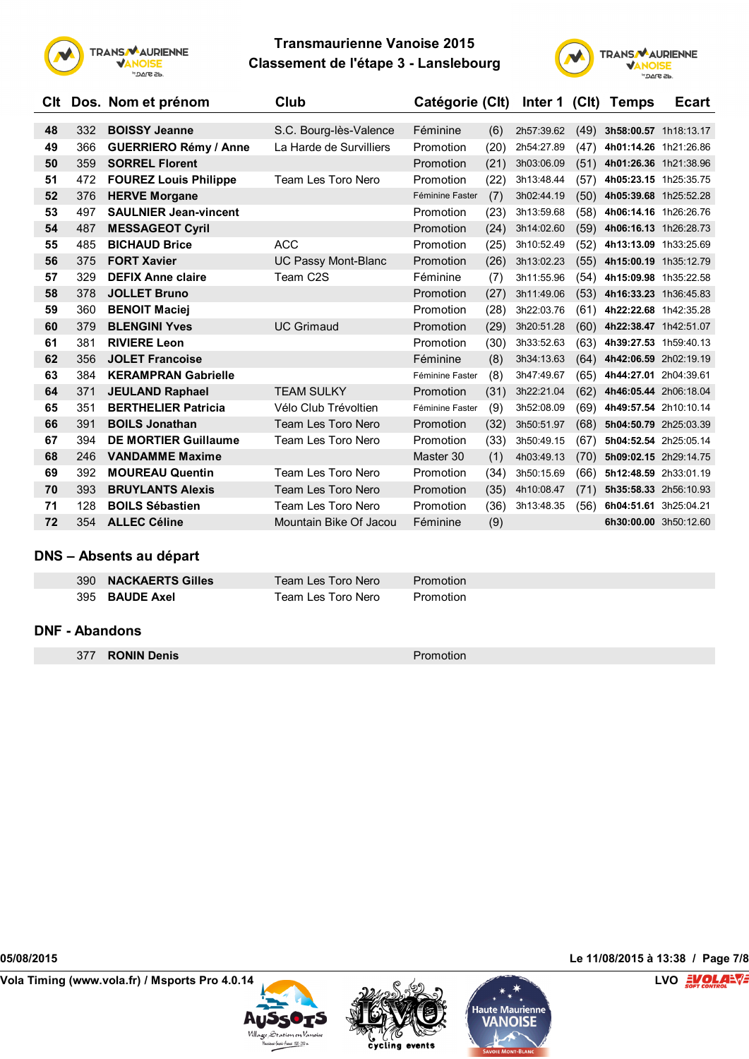



| Clt |     | Dos. Nom et prénom           | Club                       | Catégorie (Clt) |      | Inter 1 (Clt) |      | <b>Temps</b>          | <b>Ecart</b> |
|-----|-----|------------------------------|----------------------------|-----------------|------|---------------|------|-----------------------|--------------|
| 48  | 332 | <b>BOISSY Jeanne</b>         | S.C. Bourg-lès-Valence     | Féminine        | (6)  | 2h57:39.62    | (49) | 3h58:00.57 1h18:13.17 |              |
| 49  | 366 | <b>GUERRIERO Rémy / Anne</b> | La Harde de Survilliers    | Promotion       | (20) | 2h54:27.89    | (47) | 4h01:14.26 1h21:26.86 |              |
| 50  | 359 | <b>SORREL Florent</b>        |                            | Promotion       | (21) | 3h03:06.09    | (51) | 4h01:26.36 1h21:38.96 |              |
| 51  | 472 | <b>FOUREZ Louis Philippe</b> | Team Les Toro Nero         | Promotion       | (22) | 3h13:48.44    | (57) | 4h05:23.15 1h25:35.75 |              |
| 52  | 376 | <b>HERVE Morgane</b>         |                            | Féminine Faster | (7)  | 3h02:44.19    | (50) | 4h05:39.68 1h25:52.28 |              |
| 53  | 497 | <b>SAULNIER Jean-vincent</b> |                            | Promotion       | (23) | 3h13:59.68    | (58) | 4h06:14.16 1h26:26.76 |              |
| 54  | 487 | <b>MESSAGEOT Cyril</b>       |                            | Promotion       | (24) | 3h14:02.60    | (59) | 4h06:16.13 1h26:28.73 |              |
| 55  | 485 | <b>BICHAUD Brice</b>         | <b>ACC</b>                 | Promotion       | (25) | 3h10:52.49    | (52) | 4h13:13.09 1h33:25.69 |              |
| 56  | 375 | <b>FORT Xavier</b>           | <b>UC Passy Mont-Blanc</b> | Promotion       | (26) | 3h13:02.23    | (55) | 4h15:00.19 1h35:12.79 |              |
| 57  | 329 | <b>DEFIX Anne claire</b>     | Team C2S                   | Féminine        | (7)  | 3h11:55.96    | (54) | 4h15:09.98 1h35:22.58 |              |
| 58  | 378 | <b>JOLLET Bruno</b>          |                            | Promotion       | (27) | 3h11:49.06    | (53) | 4h16:33.23 1h36:45.83 |              |
| 59  | 360 | <b>BENOIT Maciej</b>         |                            | Promotion       | (28) | 3h22:03.76    | (61) | 4h22:22.68 1h42:35.28 |              |
| 60  | 379 | <b>BLENGINI Yves</b>         | <b>UC Grimaud</b>          | Promotion       | (29) | 3h20:51.28    | (60) | 4h22:38.47 1h42:51.07 |              |
| 61  | 381 | <b>RIVIERE Leon</b>          |                            | Promotion       | (30) | 3h33:52.63    | (63) | 4h39:27.53 1h59:40.13 |              |
| 62  | 356 | <b>JOLET Francoise</b>       |                            | Féminine        | (8)  | 3h34:13.63    | (64) | 4h42:06.59 2h02:19.19 |              |
| 63  | 384 | <b>KERAMPRAN Gabrielle</b>   |                            | Féminine Faster | (8)  | 3h47:49.67    | (65) | 4h44:27.01 2h04:39.61 |              |
| 64  | 371 | <b>JEULAND Raphael</b>       | <b>TEAM SULKY</b>          | Promotion       | (31) | 3h22:21.04    | (62) | 4h46:05.44 2h06:18.04 |              |
| 65  | 351 | <b>BERTHELIER Patricia</b>   | Vélo Club Trévoltien       | Féminine Faster | (9)  | 3h52:08.09    | (69) | 4h49:57.54 2h10:10.14 |              |
| 66  | 391 | <b>BOILS Jonathan</b>        | Team Les Toro Nero         | Promotion       | (32) | 3h50:51.97    | (68) | 5h04:50.79 2h25:03.39 |              |
| 67  | 394 | <b>DE MORTIER Guillaume</b>  | Team Les Toro Nero         | Promotion       | (33) | 3h50:49.15    | (67) | 5h04:52.54 2h25:05.14 |              |
| 68  | 246 | <b>VANDAMME Maxime</b>       |                            | Master 30       | (1)  | 4h03:49.13    | (70) | 5h09:02.15 2h29:14.75 |              |
| 69  | 392 | <b>MOUREAU Quentin</b>       | Team Les Toro Nero         | Promotion       | (34) | 3h50:15.69    | (66) | 5h12:48.59 2h33:01.19 |              |
| 70  | 393 | <b>BRUYLANTS Alexis</b>      | Team Les Toro Nero         | Promotion       | (35) | 4h10:08.47    | (71) | 5h35:58.33 2h56:10.93 |              |
| 71  | 128 | <b>BOILS Sébastien</b>       | Team Les Toro Nero         | Promotion       | (36) | 3h13:48.35    | (56) | 6h04:51.61 3h25:04.21 |              |
| 72  | 354 | <b>ALLEC Céline</b>          | Mountain Bike Of Jacou     | Féminine        | (9)  |               |      | 6h30:00.00 3h50:12.60 |              |

### **DNS – Absents au départ**

| 390 NACKAERTS Gilles | Team Les Toro Nero | <b>Promotion</b> |
|----------------------|--------------------|------------------|
| 395 BAUDE Axel       | Team Les Toro Nero | Promotion        |

### **DNF - Abandons**

**377 RONIN Denis Promotion** 

**Vola Timing (www.vola.fr) / Msports Pro 4.0.14 LVO**







**05/08/2015 Le 11/08/2015 à 13:38 / Page 7/8**